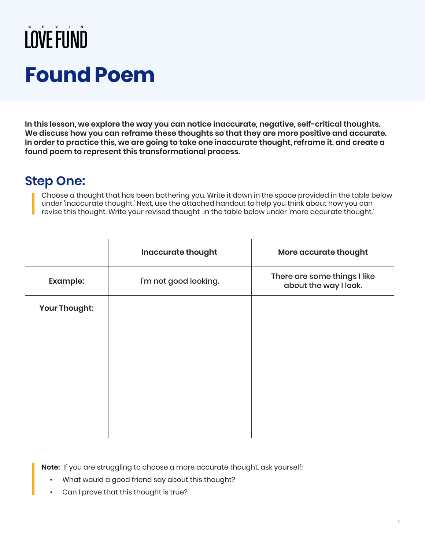## LOVE FUND **Found Poem**

**In this lesson, we explore the way you can notice inaccurate, negative, self-critical thoughts. We discuss how you can reframe these thoughts so that they are more positive and accurate. In order to practice this, we are going to take one inaccurate thought, reframe it, and create a found poem to represent this transformational process.**

#### **Step One:**

Choose a thought that has been bothering you. Write it down in the space provided in the table below under 'inaccurate thought.' Next, use the attached handout to help you think about how you can revise this thought. Write your revised thought in the table below under 'more accurate thought.'

|                 | Inaccurate thought    | More accurate thought                                 |
|-----------------|-----------------------|-------------------------------------------------------|
| <b>Example:</b> | I'm not good looking. | There are some things I like<br>about the way I look. |
| Your Thought:   |                       |                                                       |
|                 |                       |                                                       |
|                 |                       |                                                       |
|                 |                       |                                                       |
|                 |                       |                                                       |
|                 |                       |                                                       |
|                 |                       |                                                       |

**Note:** If you are struggling to choose a more accurate thought, ask yourself:

- What would a good friend say about this thought?
- Can I prove that this thought is true?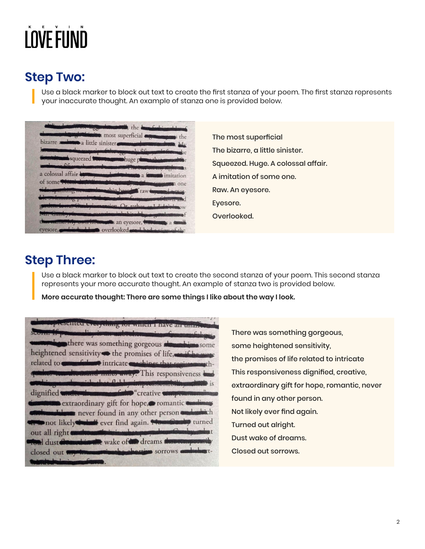# LOVE FUND

### **Step Two:**

Use a black marker to block out text to create the first stanza of your poem. The first stanza represents your inaccurate thought. An example of stanza one is provided below.

|                            | bizarre a little sinister community and the My                                                                                                                 |
|----------------------------|----------------------------------------------------------------------------------------------------------------------------------------------------------------|
| <b>Change of Community</b> | komment word word in the commonly file production where<br>Southwest squeezed themse was huge planned for<br>Laurente des grounds in the tractor comprehense s |
|                            | a colossal affair both the state of the state of a famous imitation                                                                                            |
|                            | of some that deposite addenoted to course to one                                                                                                               |
|                            | ide spontiting newsmith ship bear of raw in more damage<br>Le swimming pool; the logo gale of farmer of lawn                                                   |
|                            | garden forma Gusbyismancion Or rather or List into w                                                                                                           |
|                            | Mr. Gauby, it was mention inhobitably a graduate of                                                                                                            |

The most superficial The bizarre, a little sinister. Squeezed. Huge. A colossal affair. A imitation of some one. Raw. An eyesore. Eyesore. Overlooked.

#### **Step Three:**

Use a black marker to block out text to create the second stanza of your poem. This second stanza represents your more accurate thought. An example of stanza two is provided below.

**More accurate thought: There are some things I like about the way I look.**

| <b>Example of the consequence of which I have an under the contract of the contract of the contract of the contract of the contract of the contract of the contract of the contract of the contract of the contract of the contr</b><br>alis, is an antropolanaming of passengislage.<br>Stetunger The The Company |
|--------------------------------------------------------------------------------------------------------------------------------------------------------------------------------------------------------------------------------------------------------------------------------------------------------------------|
| there was something gorgeous about him some<br>heightened sensitivity the promises of life, and for wage<br>related to <b>communicated</b> intricate cookines that register and th-                                                                                                                                |
| contract communication of the away. This responsiveness<br><b>Continued and California and California and Continued State</b> is<br>dignified wider the manufacture "creative winpermassing"                                                                                                                       |
| communic extraordinary gift for hope, romantic tomorrow<br><b>Communication</b> never found in any other person<br>not likely would ever find again. Now the turned                                                                                                                                                |
| out all right controumly income has proportional systems to<br>Toul dust domestion the wake of the dreams throws possibly<br>closed out with the selection sorrows and the t-                                                                                                                                      |
|                                                                                                                                                                                                                                                                                                                    |

There was something gorgeous, some heightened sensitivity, the promises of life related to intricate This responsiveness dignified, creative, extraordinary gift for hope, romantic, never found in any other person. Not likely ever find again. Turned out alright. Dust wake of dreams. Closed out sorrows.